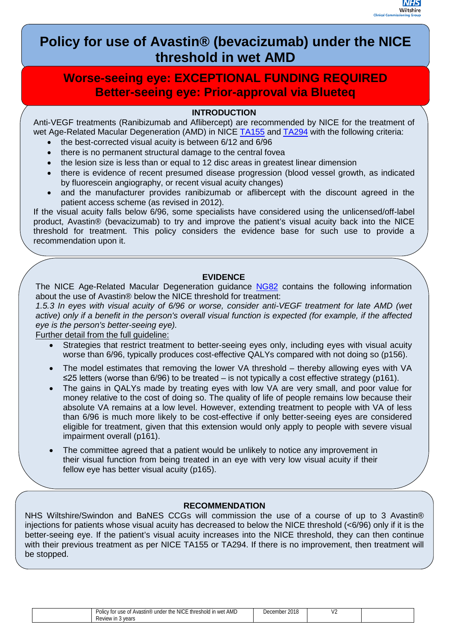

# **Policy for use of Avastin® (bevacizumab) under the NICE threshold in wet AMD**

## **Worse-seeing eye: EXCEPTIONAL FUNDING REQUIRED Better-seeing eye: Prior-approval via Blueteq**

## **INTRODUCTION**

Anti-VEGF treatments (Ranibizumab and Aflibercept) are recommended by NICE for the treatment of wet Age-Related Macular Degeneration (AMD) in NICE [TA155](https://www.nice.org.uk/guidance/ta155) and [TA294](https://www.nice.org.uk/guidance/ta294) with the following criteria:

- the best-corrected visual acuity is between 6/12 and 6/96
- there is no permanent structural damage to the central fovea
- the lesion size is less than or equal to 12 disc areas in greatest linear dimension
- there is evidence of recent presumed disease progression (blood vessel growth, as indicated by fluorescein angiography, or recent visual acuity changes)
- and the manufacturer provides ranibizumab or aflibercept with the discount agreed in the patient access scheme (as revised in 2012).

If the visual acuity falls below 6/96, some specialists have considered using the unlicensed/off-label product, Avastin® (bevacizumab) to try and improve the patient's visual acuity back into the NICE threshold for treatment. This policy considers the evidence base for such use to provide a recommendation upon it.

## **EVIDENCE**

The NICE Age-Related Macular Degeneration guidance [NG82](https://www.nice.org.uk/guidance/ng82) contains the following information about the use of Avastin® below the NICE threshold for treatment:

*1.5.3 In eyes with visual acuity of 6/96 or worse, consider anti-VEGF treatment for late AMD (wet active) only if a benefit in the person's overall visual function is expected (for example, if the affected eye is the person's better-seeing eye).*

Further detail from the full guideline:

- Strategies that restrict treatment to better-seeing eyes only, including eyes with visual acuity worse than 6/96, typically produces cost-effective QALYs compared with not doing so (p156).
- The model estimates that removing the lower VA threshold thereby allowing eyes with VA ≤25 letters (worse than 6/96) to be treated – is not typically a cost effective strategy (p161).
- The gains in QALYs made by treating eyes with low VA are very small, and poor value for money relative to the cost of doing so. The quality of life of people remains low because their absolute VA remains at a low level. However, extending treatment to people with VA of less than 6/96 is much more likely to be cost-effective if only better-seeing eyes are considered eligible for treatment, given that this extension would only apply to people with severe visual impairment overall (p161).
- The committee agreed that a patient would be unlikely to notice any improvement in their visual function from being treated in an eye with very low visual acuity if their fellow eye has better visual acuity (p165).

### **RECOMMENDATION**

NHS Wiltshire/Swindon and BaNES CCGs will commission the use of a course of up to 3 Avastin® injections for patients whose visual acuity has decreased to below the NICE threshold (<6/96) only if it is the better-seeing eye. If the patient's visual acuity increases into the NICE threshold, they can then continue with their previous treatment as per NICE TA155 or TA294. If there is no improvement, then treatment will be stopped.

| NICE threshold in wet AMD<br>PΘ<br>' under the<br>. of Avastin®<br>"ov for us."<br>' use | 2010<br>December<br><b>2010</b> | . .<br>. . |  |
|------------------------------------------------------------------------------------------|---------------------------------|------------|--|
| Review in 3<br>' vears                                                                   |                                 |            |  |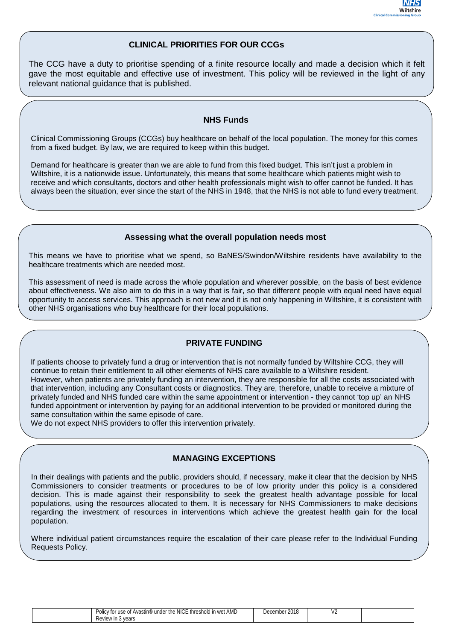

#### **CLINICAL PRIORITIES FOR OUR CCGs**

The CCG have a duty to prioritise spending of a finite resource locally and made a decision which it felt gave the most equitable and effective use of investment. This policy will be reviewed in the light of any relevant national guidance that is published.

## **NHS Funds**

Clinical Commissioning Groups (CCGs) buy healthcare on behalf of the local population. The money for this comes from a fixed budget. By law, we are required to keep within this budget.

Demand for healthcare is greater than we are able to fund from this fixed budget. This isn't just a problem in Wiltshire, it is a nationwide issue. Unfortunately, this means that some healthcare which patients might wish to receive and which consultants, doctors and other health professionals might wish to offer cannot be funded. It has always been the situation, ever since the start of the NHS in 1948, that the NHS is not able to fund every treatment.

#### **Assessing what the overall population needs most**

This means we have to prioritise what we spend, so BaNES/Swindon/Wiltshire residents have availability to the healthcare treatments which are needed most.

This assessment of need is made across the whole population and wherever possible, on the basis of best evidence about effectiveness. We also aim to do this in a way that is fair, so that different people with equal need have equal opportunity to access services. This approach is not new and it is not only happening in Wiltshire, it is consistent with other NHS organisations who buy healthcare for their local populations.

#### **PRIVATE FUNDING**

If patients choose to privately fund a drug or intervention that is not normally funded by Wiltshire CCG, they will continue to retain their entitlement to all other elements of NHS care available to a Wiltshire resident. However, when patients are privately funding an intervention, they are responsible for all the costs associated with that intervention, including any Consultant costs or diagnostics. They are, therefore, unable to receive a mixture of privately funded and NHS funded care within the same appointment or intervention - they cannot 'top up' an NHS funded appointment or intervention by paying for an additional intervention to be provided or monitored during the same consultation within the same episode of care.

We do not expect NHS providers to offer this intervention privately.

#### **MANAGING EXCEPTIONS**

In their dealings with patients and the public, providers should, if necessary, make it clear that the decision by NHS Commissioners to consider treatments or procedures to be of low priority under this policy is a considered decision. This is made against their responsibility to seek the greatest health advantage possible for local populations, using the resources allocated to them. It is necessary for NHS Commissioners to make decisions regarding the investment of resources in interventions which achieve the greatest health gain for the local population.

Where individual patient circumstances require the escalation of their care please refer to the Individual Funding Requests Policy.

| NICE threshold in wet.<br>AMD<br>under the<br>. Avastın®<br>cv for use<br>Polic<br>$\sim$<br>$\mathbf{v}$<br>. | 0.015<br>∩ember.<br>Der<br>ZUIC | $\overline{\phantom{a}}$ |  |
|----------------------------------------------------------------------------------------------------------------|---------------------------------|--------------------------|--|
| Review in<br>vears<br>$\sim$                                                                                   |                                 |                          |  |